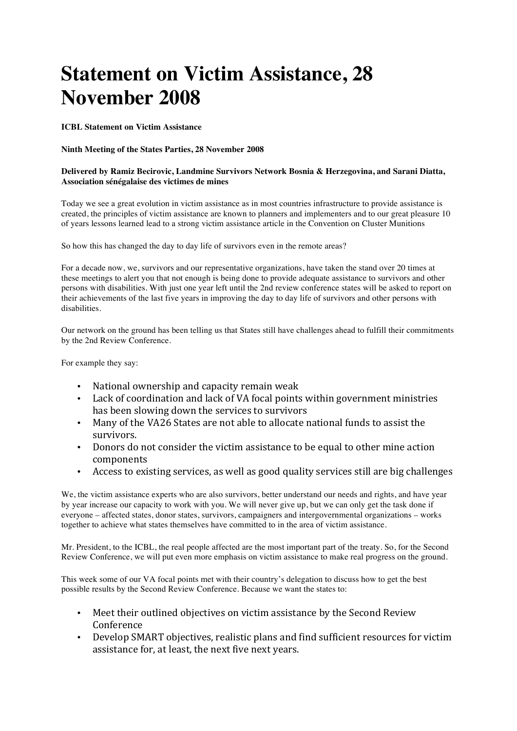## **Statement on Victim Assistance, 28 November 2008**

**ICBL Statement on Victim Assistance**

## **Ninth Meeting of the States Parties, 28 November 2008**

## **Delivered by Ramiz Becirovic, Landmine Survivors Network Bosnia & Herzegovina, and Sarani Diatta, Association sénégalaise des victimes de mines**

Today we see a great evolution in victim assistance as in most countries infrastructure to provide assistance is created, the principles of victim assistance are known to planners and implementers and to our great pleasure 10 of years lessons learned lead to a strong victim assistance article in the Convention on Cluster Munitions

So how this has changed the day to day life of survivors even in the remote areas?

For a decade now, we, survivors and our representative organizations, have taken the stand over 20 times at these meetings to alert you that not enough is being done to provide adequate assistance to survivors and other persons with disabilities. With just one year left until the 2nd review conference states will be asked to report on their achievements of the last five years in improving the day to day life of survivors and other persons with disabilities.

Our network on the ground has been telling us that States still have challenges ahead to fulfill their commitments by the 2nd Review Conference.

For example they say:

- National ownership and capacity remain weak
- Lack of coordination and lack of VA focal points within government ministries has been slowing down the services to survivors
- Many of the VA26 States are not able to allocate national funds to assist the survivors.
- Donors do not consider the victim assistance to be equal to other mine action components
- Access to existing services, as well as good quality services still are big challenges

We, the victim assistance experts who are also survivors, better understand our needs and rights, and have year by year increase our capacity to work with you. We will never give up, but we can only get the task done if everyone – affected states, donor states, survivors, campaigners and intergovernmental organizations – works together to achieve what states themselves have committed to in the area of victim assistance.

Mr. President, to the ICBL, the real people affected are the most important part of the treaty. So, for the Second Review Conference, we will put even more emphasis on victim assistance to make real progress on the ground.

This week some of our VA focal points met with their country's delegation to discuss how to get the best possible results by the Second Review Conference. Because we want the states to:

- Meet their outlined objectives on victim assistance by the Second Review Conference
- Develop SMART objectives, realistic plans and find sufficient resources for victim assistance for, at least, the next five next years.